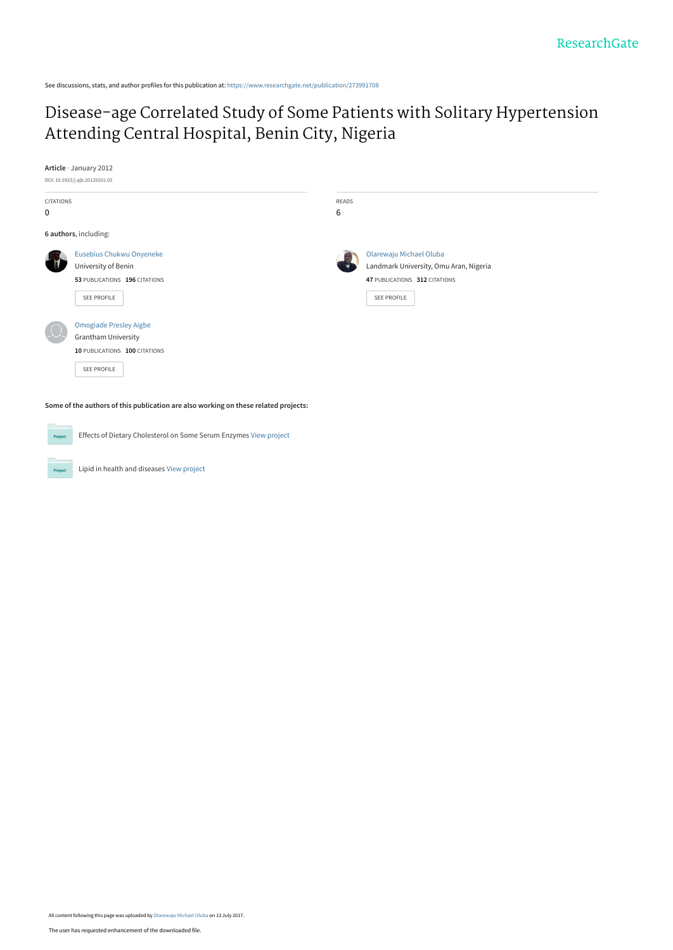See discussions, stats, and author profiles for this publication at: [https://www.researchgate.net/publication/273991708](https://www.researchgate.net/publication/273991708_Disease-age_Correlated_Study_of_Some_Patients_with_Solitary_Hypertension_Attending_Central_Hospital_Benin_City_Nigeria?enrichId=rgreq-38007e2fb6f7666985a04b2f5ce1ad2c-XXX&enrichSource=Y292ZXJQYWdlOzI3Mzk5MTcwODtBUzo1MTU1Njk4MTMzMzE5NjlAMTQ5OTkzMjgzMDY5Ng%3D%3D&el=1_x_2&_esc=publicationCoverPdf)

## [Disease-age Correlated Study of Some Patients with Solitary Hypertension](https://www.researchgate.net/publication/273991708_Disease-age_Correlated_Study_of_Some_Patients_with_Solitary_Hypertension_Attending_Central_Hospital_Benin_City_Nigeria?enrichId=rgreq-38007e2fb6f7666985a04b2f5ce1ad2c-XXX&enrichSource=Y292ZXJQYWdlOzI3Mzk5MTcwODtBUzo1MTU1Njk4MTMzMzE5NjlAMTQ5OTkzMjgzMDY5Ng%3D%3D&el=1_x_3&_esc=publicationCoverPdf) Attending Central Hospital, Benin City, Nigeria

**Article** · January 2012

Project



| <b>CITATIONS</b><br>0 |                                                                                     | READS<br>6 |                                                                                                    |
|-----------------------|-------------------------------------------------------------------------------------|------------|----------------------------------------------------------------------------------------------------|
|                       | 6 authors, including:                                                               |            |                                                                                                    |
|                       | Eusebius Chukwu Onyeneke<br>University of Benin<br>53 PUBLICATIONS 196 CITATIONS    |            | Olarewaju Michael Oluba<br>Landmark University, Omu Aran, Nigeria<br>47 PUBLICATIONS 312 CITATIONS |
|                       | SEE PROFILE                                                                         |            | <b>SEE PROFILE</b>                                                                                 |
|                       | <b>Omogiade Presley Aigbe</b><br>Grantham University                                |            |                                                                                                    |
|                       | 10 PUBLICATIONS 100 CITATIONS<br><b>SEE PROFILE</b>                                 |            |                                                                                                    |
|                       | Some of the authors of this publication are also working on these related projects: |            |                                                                                                    |
| Project               | Effects of Dietary Cholesterol on Some Serum Enzymes View project                   |            |                                                                                                    |

Lipid in health and diseases [View project](https://www.researchgate.net/project/Lipid-in-health-and-diseases?enrichId=rgreq-38007e2fb6f7666985a04b2f5ce1ad2c-XXX&enrichSource=Y292ZXJQYWdlOzI3Mzk5MTcwODtBUzo1MTU1Njk4MTMzMzE5NjlAMTQ5OTkzMjgzMDY5Ng%3D%3D&el=1_x_9&_esc=publicationCoverPdf)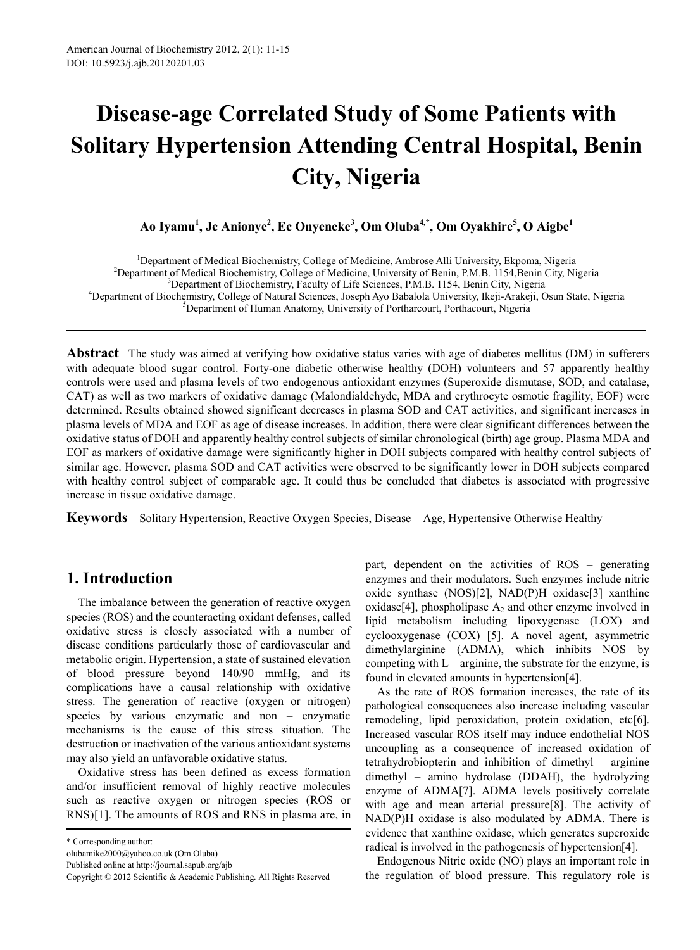# **Disease-age Correlated Study of Some Patients with Solitary Hypertension Attending Central Hospital, Benin City, Nigeria**

**Ao Iyamu1 , Jc Anionye<sup>2</sup> , Ec Onyeneke<sup>3</sup> , Om Oluba4,\*, Om Oyakhire5 , O Aigbe<sup>1</sup>**

<sup>1</sup> Department of Medical Biochemistry, College of Medicine, Ambrose Alli University, Ekpoma, Nigeria<sup>2</sup><br><sup>2</sup> Department of Medical Biochemistry, College of Medicine, University of Benin, **PM B**, 1154 Benin City, N <sup>2</sup>Department of Medical Biochemistry, College of Medicine, University of Benin, P.M.B. 1154,Benin City, Nigeria <sup>3</sup> Department of Biochemistry, Faculty of Life Sciences, P.M.B. 1154, Benin City, Nigeria<br><sup>4</sup> Department of Biochemistry, College of Natural Sciences, Joseph Ave Babalola University, Ikeji, Arakaji, G <sup>4</sup>Department of Biochemistry, College of Natural Sciences, Joseph Ayo Babalola University, Ikeji-Arakeji, Osun State, Nigeria <sup>5</sup>Department of Human Anatomy, University of Portharcourt, Porthacourt, Nigeria

**Abstract** The study was aimed at verifying how oxidative status varies with age of diabetes mellitus (DM) in sufferers with adequate blood sugar control. Forty-one diabetic otherwise healthy (DOH) volunteers and 57 apparently healthy controls were used and plasma levels of two endogenous antioxidant enzymes (Superoxide dismutase, SOD, and catalase, CAT) as well as two markers of oxidative damage (Malondialdehyde, MDA and erythrocyte osmotic fragility, EOF) were determined. Results obtained showed significant decreases in plasma SOD and CAT activities, and significant increases in plasma levels of MDA and EOF as age of disease increases. In addition, there were clear significant differences between the oxidative status of DOH and apparently healthy control subjects of similar chronological (birth) age group. Plasma MDA and EOF as markers of oxidative damage were significantly higher in DOH subjects compared with healthy control subjects of similar age. However, plasma SOD and CAT activities were observed to be significantly lower in DOH subjects compared with healthy control subject of comparable age. It could thus be concluded that diabetes is associated with progressive increase in tissue oxidative damage.

**Keywords** Solitary Hypertension, Reactive Oxygen Species, Disease – Age, Hypertensive Otherwise Healthy

## **1. Introduction**

The imbalance between the generation of reactive oxygen species (ROS) and the counteracting oxidant defenses, called oxidative stress is closely associated with a number of disease conditions particularly those of cardiovascular and metabolic origin. Hypertension, a state of sustained elevation of blood pressure beyond 140/90 mmHg, and its complications have a causal relationship with oxidative stress. The generation of reactive (oxygen or nitrogen) species by various enzymatic and non – enzymatic mechanisms is the cause of this stress situation. The destruction or inactivation of the various antioxidant systems may also yield an unfavorable oxidative status.

Oxidative stress has been defined as excess formation and/or insufficient removal of highly reactive molecules such as reactive oxygen or nitrogen species (ROS or RNS)[1]. The amounts of ROS and RNS in plasma are, in part, dependent on the activities of ROS – generating enzymes and their modulators. Such enzymes include nitric oxide synthase (NOS)[2], NAD(P)H oxidase[3] xanthine oxidase[4], phospholipase  $A_2$  and other enzyme involved in lipid metabolism including lipoxygenase (LOX) and cyclooxygenase (COX) [5]. A novel agent, asymmetric dimethylarginine (ADMA), which inhibits NOS by competing with  $L - arginine$ , the substrate for the enzyme, is found in elevated amounts in hypertension[4].

As the rate of ROS formation increases, the rate of its pathological consequences also increase including vascular remodeling, lipid peroxidation, protein oxidation, etc[6]. Increased vascular ROS itself may induce endothelial NOS uncoupling as a consequence of increased oxidation of tetrahydrobiopterin and inhibition of dimethyl – arginine dimethyl – amino hydrolase (DDAH), the hydrolyzing enzyme of ADMA[7]. ADMA levels positively correlate with age and mean arterial pressure[8]. The activity of NAD(P)H oxidase is also modulated by ADMA. There is evidence that xanthine oxidase, which generates superoxide radical is involved in the pathogenesis of hypertension[4].

Endogenous Nitric oxide (NO) plays an important role in the regulation of blood pressure. This regulatory role is

<sup>\*</sup> Corresponding author:

olubamike2000@yahoo.co.uk (Om Oluba)

Published online at http://journal.sapub.org/ajb

Copyright © 2012 Scientific & Academic Publishing. All Rights Reserved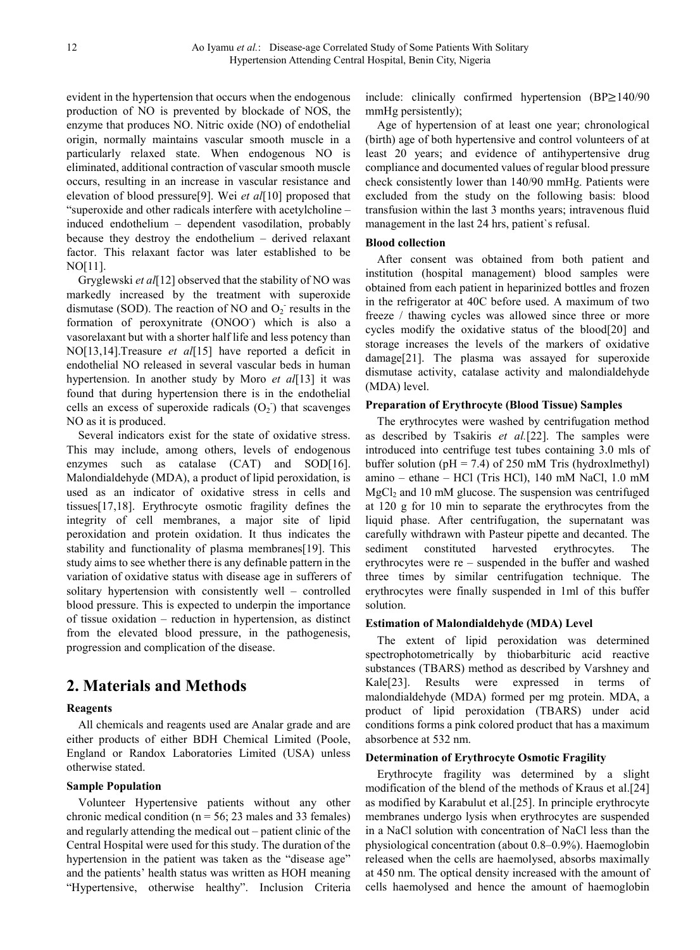evident in the hypertension that occurs when the endogenous production of NO is prevented by blockade of NOS, the enzyme that produces NO. Nitric oxide (NO) of endothelial origin, normally maintains vascular smooth muscle in a particularly relaxed state. When endogenous NO is eliminated, additional contraction of vascular smooth muscle occurs, resulting in an increase in vascular resistance and elevation of blood pressure[9]. Wei *et al*[10] proposed that "superoxide and other radicals interfere with acetylcholine – induced endothelium – dependent vasodilation, probably because they destroy the endothelium – derived relaxant factor. This relaxant factor was later established to be NO[11].

Gryglewski *et al*[12] observed that the stability of NO was markedly increased by the treatment with superoxide dismutase (SOD). The reaction of NO and  $O_2$ <sup>-</sup> results in the formation of peroxynitrate (ONOO<sup>-</sup>) which is also a vasorelaxant but with a shorter half life and less potency than NO[13,14].Treasure *et al*[15] have reported a deficit in endothelial NO released in several vascular beds in human hypertension. In another study by Moro *et al*[13] it was found that during hypertension there is in the endothelial cells an excess of superoxide radicals  $(O_2)$  that scavenges NO as it is produced.

Several indicators exist for the state of oxidative stress. This may include, among others, levels of endogenous enzymes such as catalase (CAT) and SOD[16]. Malondialdehyde (MDA), a product of lipid peroxidation, is used as an indicator of oxidative stress in cells and tissues[17,18]. Erythrocyte osmotic fragility defines the integrity of cell membranes, a major site of lipid peroxidation and protein oxidation. It thus indicates the stability and functionality of plasma membranes[19]. This study aims to see whether there is any definable pattern in the variation of oxidative status with disease age in sufferers of solitary hypertension with consistently well – controlled blood pressure. This is expected to underpin the importance of tissue oxidation – reduction in hypertension, as distinct from the elevated blood pressure, in the pathogenesis, progression and complication of the disease.

## **2. Materials and Methods**

#### **Reagents**

All chemicals and reagents used are Analar grade and are either products of either BDH Chemical Limited (Poole, England or Randox Laboratories Limited (USA) unless otherwise stated.

#### **Sample Population**

Volunteer Hypertensive patients without any other chronic medical condition ( $n = 56$ ; 23 males and 33 females) and regularly attending the medical out – patient clinic of the Central Hospital were used for this study. The duration of the hypertension in the patient was taken as the "disease age" and the patients' health status was written as HOH meaning "Hypertensive, otherwise healthy". Inclusion Criteria

include: clinically confirmed hypertension (BP≥140/90 mmHg persistently);

Age of hypertension of at least one year; chronological (birth) age of both hypertensive and control volunteers of at least 20 years; and evidence of antihypertensive drug compliance and documented values of regular blood pressure check consistently lower than 140/90 mmHg. Patients were excluded from the study on the following basis: blood transfusion within the last 3 months years; intravenous fluid management in the last 24 hrs, patient`s refusal.

#### **Blood collection**

After consent was obtained from both patient and institution (hospital management) blood samples were obtained from each patient in heparinized bottles and frozen in the refrigerator at 40C before used. A maximum of two freeze / thawing cycles was allowed since three or more cycles modify the oxidative status of the blood[20] and storage increases the levels of the markers of oxidative damage[21]. The plasma was assayed for superoxide dismutase activity, catalase activity and malondialdehyde (MDA) level.

#### **Preparation of Erythrocyte (Blood Tissue) Samples**

The erythrocytes were washed by centrifugation method as described by Tsakiris *et al.*[22]. The samples were introduced into centrifuge test tubes containing 3.0 mls of buffer solution ( $pH = 7.4$ ) of 250 mM Tris (hydroxlmethyl) amino – ethane – HCl (Tris HCl), 140 mM NaCl, 1.0 mM  $MgCl<sub>2</sub>$  and 10 mM glucose. The suspension was centrifuged at 120 g for 10 min to separate the erythrocytes from the liquid phase. After centrifugation, the supernatant was carefully withdrawn with Pasteur pipette and decanted. The sediment constituted harvested erythrocytes. The erythrocytes were re – suspended in the buffer and washed three times by similar centrifugation technique. The erythrocytes were finally suspended in 1ml of this buffer solution.

#### **Estimation of Malondialdehyde (MDA) Level**

The extent of lipid peroxidation was determined spectrophotometrically by thiobarbituric acid reactive substances (TBARS) method as described by Varshney and Kale[23]. Results were expressed in terms of malondialdehyde (MDA) formed per mg protein. MDA, a product of lipid peroxidation (TBARS) under acid conditions forms a pink colored product that has a maximum absorbence at 532 nm.

#### **Determination of Erythrocyte Osmotic Fragility**

Erythrocyte fragility was determined by a slight modification of the blend of the methods of Kraus et al.[24] as modified by Karabulut et al.[25]. In principle erythrocyte membranes undergo lysis when erythrocytes are suspended in a NaCl solution with concentration of NaCl less than the physiological concentration (about 0.8–0.9%). Haemoglobin released when the cells are haemolysed, absorbs maximally at 450 nm. The optical density increased with the amount of cells haemolysed and hence the amount of haemoglobin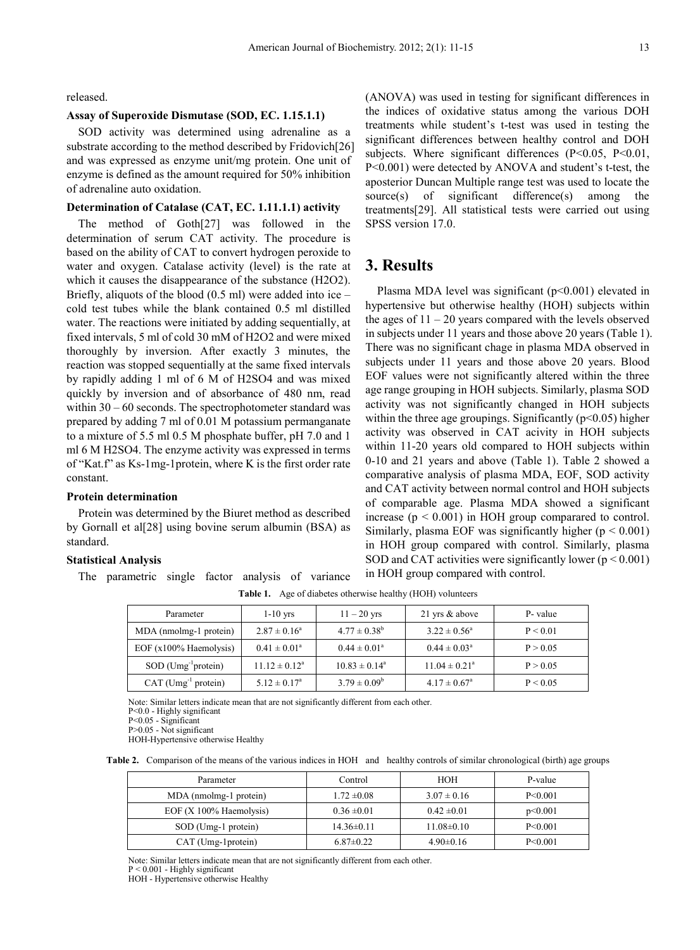released.

#### **Assay of Superoxide Dismutase (SOD, EC. 1.15.1.1)**

SOD activity was determined using adrenaline as a substrate according to the method described by Fridovich[26] and was expressed as enzyme unit/mg protein. One unit of enzyme is defined as the amount required for 50% inhibition of adrenaline auto oxidation.

#### **Determination of Catalase (CAT, EC. 1.11.1.1) activity**

The method of Goth[27] was followed in the determination of serum CAT activity. The procedure is based on the ability of CAT to convert hydrogen peroxide to water and oxygen. Catalase activity (level) is the rate at which it causes the disappearance of the substance (H2O2). Briefly, aliquots of the blood  $(0.5 \text{ ml})$  were added into ice – cold test tubes while the blank contained 0.5 ml distilled water. The reactions were initiated by adding sequentially, at fixed intervals, 5 ml of cold 30 mM of H2O2 and were mixed thoroughly by inversion. After exactly 3 minutes, the reaction was stopped sequentially at the same fixed intervals by rapidly adding 1 ml of 6 M of H2SO4 and was mixed quickly by inversion and of absorbance of 480 nm, read within 30 – 60 seconds. The spectrophotometer standard was prepared by adding 7 ml of 0.01 M potassium permanganate to a mixture of 5.5 ml 0.5 M phosphate buffer, pH 7.0 and 1 ml 6 M H2SO4. The enzyme activity was expressed in terms of "Kat.f" as Ks-1mg-1protein, where K is the first order rate constant.

#### **Protein determination**

Protein was determined by the Biuret method as described by Gornall et al[28] using bovine serum albumin (BSA) as standard.

#### **Statistical Analysis**

The parametric single factor analysis of variance

(ANOVA) was used in testing for significant differences in the indices of oxidative status among the various DOH treatments while student's t-test was used in testing the significant differences between healthy control and DOH subjects. Where significant differences (P<0.05, P<0.01, P<0.001) were detected by ANOVA and student's t-test, the aposterior Duncan Multiple range test was used to locate the source(s) of significant difference(s) among the treatments[29]. All statistical tests were carried out using SPSS version 17.0.

### **3. Results**

Plasma MDA level was significant  $(p<0.001)$  elevated in hypertensive but otherwise healthy (HOH) subjects within the ages of  $11 - 20$  years compared with the levels observed in subjects under 11 years and those above 20 years (Table 1). There was no significant chage in plasma MDA observed in subjects under 11 years and those above 20 years. Blood EOF values were not significantly altered within the three age range grouping in HOH subjects. Similarly, plasma SOD activity was not significantly changed in HOH subjects within the three age groupings. Significantly ( $p<0.05$ ) higher activity was observed in CAT acivity in HOH subjects within 11-20 years old compared to HOH subjects within 0-10 and 21 years and above (Table 1). Table 2 showed a comparative analysis of plasma MDA, EOF, SOD activity and CAT activity between normal control and HOH subjects of comparable age. Plasma MDA showed a significant increase  $(p < 0.001)$  in HOH group comparared to control. Similarly, plasma EOF was significantly higher  $(p < 0.001)$ in HOH group compared with control. Similarly, plasma SOD and CAT activities were significantly lower ( $p \le 0.001$ ) in HOH group compared with control.

| Parameter                         | $1-10$ yrs              | $11 - 20$ yrs            | 21 yrs & above           | P-value  |
|-----------------------------------|-------------------------|--------------------------|--------------------------|----------|
| MDA (nmolmg-1 protein)            | $2.87 \pm 0.16^a$       | $4.77 \pm 0.38^b$        | $3.22 \pm 0.56^{\circ}$  | P < 0.01 |
| EOF $(x100\%$ Haemolysis)         | $0.41 \pm 0.01^a$       | $0.44 \pm 0.01^a$        | $0.44 \pm 0.03^{\circ}$  | P > 0.05 |
| $SOD$ (Umg <sup>-1</sup> protein) | $11.12 \pm 0.12^a$      | $10.83 \pm 0.14^{\circ}$ | $11.04 \pm 0.21^{\circ}$ | P > 0.05 |
| $CAT$ (Umg <sup>-1</sup> protein) | $5.12 \pm 0.17^{\circ}$ | $3.79 \pm 0.09^b$        | $4.17 \pm 0.67^{\rm a}$  | P < 0.05 |

**Table 1.** Age of diabetes otherwise healthy (HOH) volunteers

Note: Similar letters indicate mean that are not significantly different from each other.

P<0.0 - Highly significant

P<0.05 - Significant

P>0.05 - Not significant

HOH-Hypertensive otherwise Healthy

**Table 2.** Comparison of the means of the various indices in HOH and healthy controls of similar chronological (birth) age groups

| Parameter                  | Control         | <b>HOH</b>       | P-value   |
|----------------------------|-----------------|------------------|-----------|
| MDA (nmolmg-1 protein)     | $1.72 \pm 0.08$ | $3.07 \pm 0.16$  | P < 0.001 |
| EOF $(X 100\%$ Haemolysis) | $0.36 \pm 0.01$ | $0.42 \pm 0.01$  | p<0.001   |
| SOD (Umg-1 protein)        | $14.36\pm0.11$  | $11.08 \pm 0.10$ | P < 0.001 |
| CAT (Umg-1protein)         | $6.87\pm0.22$   | $4.90\pm0.16$    | P < 0.001 |

Note: Similar letters indicate mean that are not significantly different from each other.

P < 0.001 - Highly significant

HOH - Hypertensive otherwise Healthy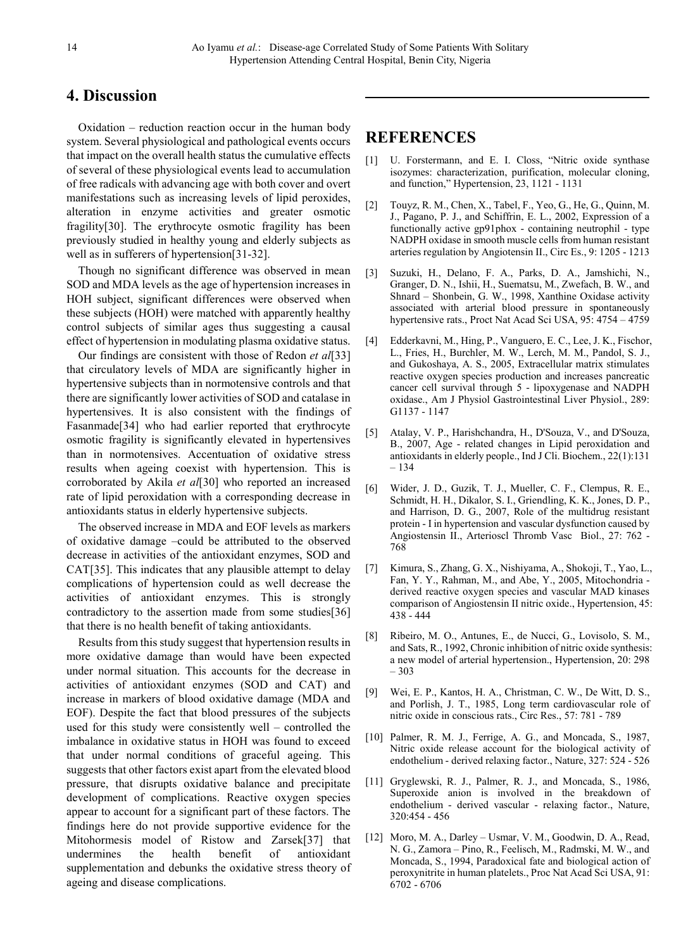## **4. Discussion**

Oxidation – reduction reaction occur in the human body system. Several physiological and pathological events occurs that impact on the overall health status the cumulative effects of several of these physiological events lead to accumulation of free radicals with advancing age with both cover and overt manifestations such as increasing levels of lipid peroxides, alteration in enzyme activities and greater osmotic fragility[30]. The erythrocyte osmotic fragility has been previously studied in healthy young and elderly subjects as well as in sufferers of hypertension[31-32].

Though no significant difference was observed in mean SOD and MDA levels as the age of hypertension increases in HOH subject, significant differences were observed when these subjects (HOH) were matched with apparently healthy control subjects of similar ages thus suggesting a causal effect of hypertension in modulating plasma oxidative status.

Our findings are consistent with those of Redon *et al*[33] that circulatory levels of MDA are significantly higher in hypertensive subjects than in normotensive controls and that there are significantly lower activities of SOD and catalase in hypertensives. It is also consistent with the findings of Fasanmade[34] who had earlier reported that erythrocyte osmotic fragility is significantly elevated in hypertensives than in normotensives. Accentuation of oxidative stress results when ageing coexist with hypertension. This is corroborated by Akila *et al*[30] who reported an increased rate of lipid peroxidation with a corresponding decrease in antioxidants status in elderly hypertensive subjects.

The observed increase in MDA and EOF levels as markers of oxidative damage –could be attributed to the observed decrease in activities of the antioxidant enzymes, SOD and CAT[35]. This indicates that any plausible attempt to delay complications of hypertension could as well decrease the activities of antioxidant enzymes. This is strongly contradictory to the assertion made from some studies[36] that there is no health benefit of taking antioxidants.

Results from this study suggest that hypertension results in more oxidative damage than would have been expected under normal situation. This accounts for the decrease in activities of antioxidant enzymes (SOD and CAT) and increase in markers of blood oxidative damage (MDA and EOF). Despite the fact that blood pressures of the subjects used for this study were consistently well – controlled the imbalance in oxidative status in HOH was found to exceed that under normal conditions of graceful ageing. This suggests that other factors exist apart from the elevated blood pressure, that disrupts oxidative balance and precipitate development of complications. Reactive oxygen species appear to account for a significant part of these factors. The findings here do not provide supportive evidence for the Mitohormesis model of Ristow and Zarsek[37] that undermines the health benefit of antioxidant supplementation and debunks the oxidative stress theory of ageing and disease complications.

## **REFERENCES**

- [1] U. Forstermann, and E. I. Closs, "Nitric oxide synthase isozymes: characterization, purification, molecular cloning, and function," Hypertension, 23, 1121 - 1131
- [2] Touyz, R. M., Chen, X., Tabel, F., Yeo, G., He, G., Quinn, M. J., Pagano, P. J., and Schiffrin, E. L., 2002, Expression of a functionally active gp91phox - containing neutrophil - type NADPH oxidase in smooth muscle cells from human resistant arteries regulation by Angiotensin II., Circ Es., 9: 1205 - 1213
- [3] Suzuki, H., Delano, F. A., Parks, D. A., Jamshichi, N., Granger, D. N., Ishii, H., Suematsu, M., Zwefach, B. W., and Shnard – Shonbein, G. W., 1998, Xanthine Oxidase activity associated with arterial blood pressure in spontaneously hypertensive rats., Proct Nat Acad Sci USA, 95: 4754 – 4759
- [4] Edderkavni, M., Hing, P., Vanguero, E. C., Lee, J. K., Fischor, L., Fries, H., Burchler, M. W., Lerch, M. M., Pandol, S. J., and Gukoshaya, A. S., 2005, Extracellular matrix stimulates reactive oxygen species production and increases pancreatic cancer cell survival through 5 - lipoxygenase and NADPH oxidase., Am J Physiol Gastrointestinal Liver Physiol., 289: G1137 - 1147
- [5] Atalay, V. P., Harishchandra, H., D'Souza, V., and D'Souza, B., 2007, Age - related changes in Lipid peroxidation and antioxidants in elderly people., Ind J Cli. Biochem., 22(1):131 – 134
- [6] Wider, J. D., Guzik, T. J., Mueller, C. F., Clempus, R. E., Schmidt, H. H., Dikalor, S. I., Griendling, K. K., Jones, D. P., and Harrison, D. G., 2007, Role of the multidrug resistant protein - I in hypertension and vascular dysfunction caused by Angiostensin II., Arterioscl Thromb Vasc Biol., 27: 762 - 768
- [7] Kimura, S., Zhang, G. X., Nishiyama, A., Shokoji, T., Yao, L., Fan, Y. Y., Rahman, M., and Abe, Y., 2005, Mitochondria derived reactive oxygen species and vascular MAD kinases comparison of Angiostensin II nitric oxide., Hypertension, 45: 438 - 444
- [8] Ribeiro, M. O., Antunes, E., de Nucci, G., Lovisolo, S. M., and Sats, R., 1992, Chronic inhibition of nitric oxide synthesis: a new model of arterial hypertension., Hypertension, 20: 298 – 303
- [9] Wei, E. P., Kantos, H. A., Christman, C. W., De Witt, D. S., and Porlish, J. T., 1985, Long term cardiovascular role of nitric oxide in conscious rats., Circ Res., 57: 781 - 789
- [10] Palmer, R. M. J., Ferrige, A. G., and Moncada, S., 1987, Nitric oxide release account for the biological activity of endothelium - derived relaxing factor., Nature, 327: 524 - 526
- [11] Gryglewski, R. J., Palmer, R. J., and Moncada, S., 1986, Superoxide anion is involved in the breakdown of endothelium - derived vascular - relaxing factor., Nature, 320:454 - 456
- [12] Moro, M. A., Darley Usmar, V. M., Goodwin, D. A., Read, N. G., Zamora – Pino, R., Feelisch, M., Radmski, M. W., and Moncada, S., 1994, Paradoxical fate and biological action of peroxynitrite in human platelets., Proc Nat Acad Sci USA, 91: 6702 - 6706